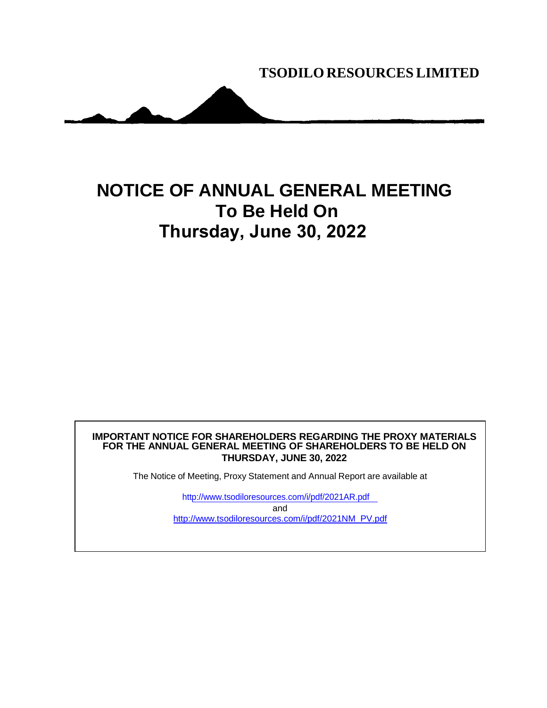**TSODILO RESOURCES LIMITED**

## **NOTICE OF ANNUAL GENERAL MEETING To Be Held On Thursday, June 30, 2022**

## **IMPORTANT NOTICE FOR SHAREHOLDERS REGARDING THE PROXY MATERIALS FOR THE ANNUAL GENERAL MEETING OF SHAREHOLDERS TO BE HELD ON THURSDAY, JUNE 30, 2022**

The Notice of Meeting, Proxy Statement and Annual Report are available at

ht[tp://www.tsodiloresources.com/i/pdf/2021AR.pdf](http://www.tsodiloresources.com/i/pdf/2021AR.pdf) and [http://www.tsodiloresources.com/i/pdf/2021NM\\_PV.pdf](http://www.tsodiloresources.com/i/pdf/2021NM_PV.pdf)